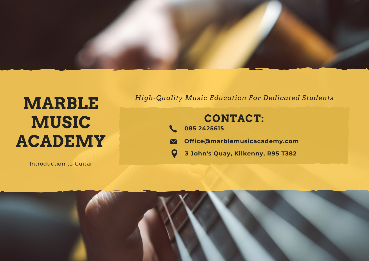

# **MARBLE MUSIC ACADEMY**

Introduction to Guitar

#### *High-Quality Music Education For Dedicated Students*

## **CONTACT:**

- **085 2425615**
- **Office@marblemusicacademy.com**  $\boldsymbol{\nabla}$ 
	- **3 John's Quay, Kilkenny, R95 T382**